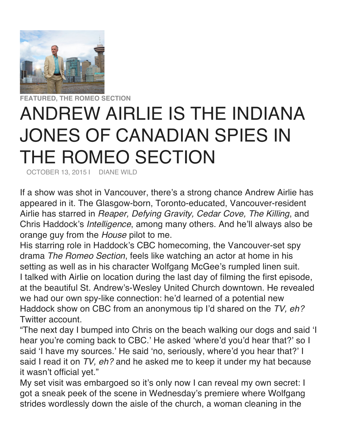

## **FEATURED, THE ROMEO SECTION** ANDREW AIRLIE IS THE INDIANA JONES OF CANADIAN SPIES IN THE ROMEO SECTION

OCTOBER 13, 2015 | DIANE WILD

If a show was shot in Vancouver, there's a strong chance Andrew Airlie has appeared in it. The Glasgow-born, Toronto-educated, Vancouver-resident Airlie has starred in *Reaper, Defying Gravity, Cedar Cove, The Killing*, and Chris Haddock's *Intelligence*, among many others. And he'll always also be orange guy from the *House* pilot to me.

His starring role in Haddock's CBC homecoming, the Vancouver-set spy drama *The Romeo Section*, feels like watching an actor at home in his setting as well as in his character Wolfgang McGee's rumpled linen suit. I talked with Airlie on location during the last day of filming the first episode, at the beautiful St. Andrew's-Wesley United Church downtown. He revealed we had our own spy-like connection: he'd learned of a potential new Haddock show on CBC from an anonymous tip I'd shared on the *TV, eh?* Twitter account.

"The next day I bumped into Chris on the beach walking our dogs and said 'I hear you're coming back to CBC.' He asked 'where'd you'd hear that?' so I said 'I have my sources.' He said 'no, seriously, where'd you hear that?' I said I read it on *TV, eh?* and he asked me to keep it under my hat because it wasn't official yet."

My set visit was embargoed so it's only now I can reveal my own secret: I got a sneak peek of the scene in Wednesday's premiere where Wolfgang strides wordlessly down the aisle of the church, a woman cleaning in the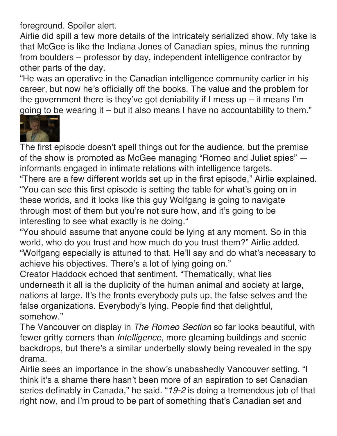foreground. Spoiler alert.

Airlie did spill a few more details of the intricately serialized show. My take is that McGee is like the Indiana Jones of Canadian spies, minus the running from boulders – professor by day, independent intelligence contractor by other parts of the day.

"He was an operative in the Canadian intelligence community earlier in his career, but now he's officially off the books. The value and the problem for the government there is they've got deniability if I mess up – it means I'm going to be wearing it – but it also means I have no accountability to them."



The first episode doesn't spell things out for the audience, but the premise of the show is promoted as McGee managing "Romeo and Juliet spies" informants engaged in intimate relations with intelligence targets.

"There are a few different worlds set up in the first episode," Airlie explained. "You can see this first episode is setting the table for what's going on in these worlds, and it looks like this guy Wolfgang is going to navigate through most of them but you're not sure how, and it's going to be interesting to see what exactly is he doing."

"You should assume that anyone could be lying at any moment. So in this world, who do you trust and how much do you trust them?" Airlie added. "Wolfgang especially is attuned to that. He'll say and do what's necessary to achieve his objectives. There's a lot of lying going on."

Creator Haddock echoed that sentiment. "Thematically, what lies underneath it all is the duplicity of the human animal and society at large, nations at large. It's the fronts everybody puts up, the false selves and the false organizations. Everybody's lying. People find that delightful, somehow."

The Vancouver on display in *The Romeo Section* so far looks beautiful, with fewer gritty corners than *Intelligence*, more gleaming buildings and scenic backdrops, but there's a similar underbelly slowly being revealed in the spy drama.

Airlie sees an importance in the show's unabashedly Vancouver setting. "I think it's a shame there hasn't been more of an aspiration to set Canadian series definably in Canada," he said. "*19-2* is doing a tremendous job of that right now, and I'm proud to be part of something that's Canadian set and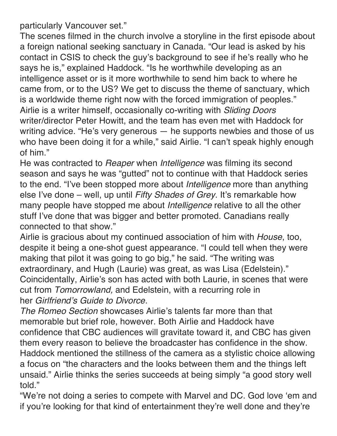particularly Vancouver set."

The scenes filmed in the church involve a storyline in the first episode about a foreign national seeking sanctuary in Canada. "Our lead is asked by his contact in CSIS to check the guy's background to see if he's really who he says he is," explained Haddock. "Is he worthwhile developing as an intelligence asset or is it more worthwhile to send him back to where he came from, or to the US? We get to discuss the theme of sanctuary, which is a worldwide theme right now with the forced immigration of peoples." Airlie is a writer himself, occasionally co-writing with *Sliding Doors* writer/director Peter Howitt, and the team has even met with Haddock for writing advice. "He's very generous — he supports newbies and those of us who have been doing it for a while," said Airlie. "I can't speak highly enough of him."

He was contracted to *Reaper* when *Intelligence* was filming its second season and says he was "gutted" not to continue with that Haddock series to the end. "I've been stopped more about *Intelligence* more than anything else I've done – well, up until *Fifty Shades of Grey*. It's remarkable how many people have stopped me about *Intelligence* relative to all the other stuff I've done that was bigger and better promoted. Canadians really connected to that show."

Airlie is gracious about my continued association of him with *House*, too, despite it being a one-shot guest appearance. "I could tell when they were making that pilot it was going to go big," he said. "The writing was extraordinary, and Hugh (Laurie) was great, as was Lisa (Edelstein)." Coincidentally, Airlie's son has acted with both Laurie, in scenes that were cut from *Tomorrowland,* and Edelstein, with a recurring role in her *Girlfriend's Guide to Divorce*.

*The Romeo Section* showcases Airlie's talents far more than that memorable but brief role, however. Both Airlie and Haddock have confidence that CBC audiences will gravitate toward it, and CBC has given them every reason to believe the broadcaster has confidence in the show. Haddock mentioned the stillness of the camera as a stylistic choice allowing a focus on "the characters and the looks between them and the things left unsaid." Airlie thinks the series succeeds at being simply "a good story well told."

"We're not doing a series to compete with Marvel and DC. God love 'em and if you're looking for that kind of entertainment they're well done and they're